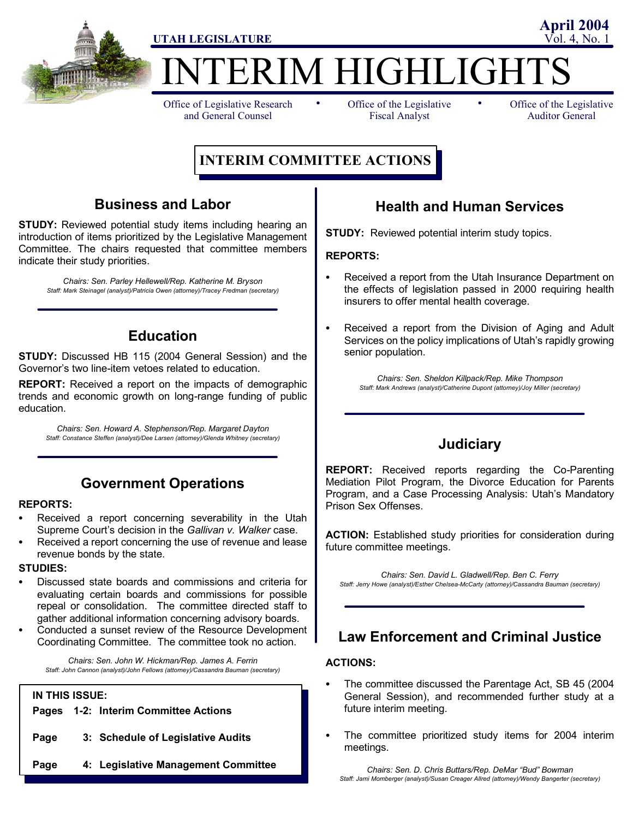

ERIM HIGHLIGHT

Office of Legislative Research and General Counsel

• Office of the Legislative • Fiscal Analyst

Office of the Legislative Auditor General

**April 2004**

# **INTERIM COMMITTEE ACTIONS**

## **Business and Labor**

**STUDY:** Reviewed potential study items including hearing an introduction of items prioritized by the Legislative Management Committee. The chairs requested that committee members indicate their study priorities.

*Chairs: Sen. Parley Hellewell/Rep. Katherine M. Bryson Staff: Mark Steinagel (analyst)/Patricia Owen (attorney)/Tracey Fredman (secretary)*

## **Education**

**STUDY:** Discussed HB 115 (2004 General Session) and the Governor's two line-item vetoes related to education.

**REPORT:** Received a report on the impacts of demographic trends and economic growth on long-range funding of public education.

*Chairs: Sen. Howard A. Stephenson/Rep. Margaret Dayton Staff: Constance Steffen (analyst)/Dee Larsen (attorney)/Glenda Whitney (secretary)*

## **Government Operations**

### **REPORTS:**

- Received a report concerning severability in the Utah Supreme Court's decision in the *Gallivan v. Walker* case.
- Received a report concerning the use of revenue and lease revenue bonds by the state.

### **STUDIES:**

- Discussed state boards and commissions and criteria for evaluating certain boards and commissions for possible repeal or consolidation. The committee directed staff to gather additional information concerning advisory boards.
- Conducted a sunset review of the Resource Development Coordinating Committee. The committee took no action.

*Chairs: Sen. John W. Hickman/Rep. James A. Ferrin Staff: John Cannon (analyst)/John Fellows (attorney)/Cassandra Bauman (secretary)*

#### **IN THIS ISSUE:**

|  |      |  | Pages 1-2: Interim Committee Actions |
|--|------|--|--------------------------------------|
|  | Page |  | 3: Schedule of Legislative Audits    |
|  | Page |  | 4: Legislative Management Committee  |

## **Health and Human Services**

**STUDY:** Reviewed potential interim study topics.

### **REPORTS:**

- Received a report from the Utah Insurance Department on the effects of legislation passed in 2000 requiring health insurers to offer mental health coverage.
- Received a report from the Division of Aging and Adult Services on the policy implications of Utah's rapidly growing senior population.

*Chairs: Sen. Sheldon Killpack/Rep. Mike Thompson Staff: Mark Andrews (analyst)/Catherine Dupont (attorney)/Joy Miller (secretary)*

## **Judiciary**

**REPORT:** Received reports regarding the Co-Parenting Mediation Pilot Program, the Divorce Education for Parents Program, and a Case Processing Analysis: Utah's Mandatory Prison Sex Offenses.

**ACTION:** Established study priorities for consideration during future committee meetings.

*Chairs: Sen. David L. Gladwell/Rep. Ben C. Ferry Staff: Jerry Howe (analyst)/Esther Chelsea-McCarty (attorney)/Cassandra Bauman (secretary)*

## **Law Enforcement and Criminal Justice**

### **ACTIONS:**

- The committee discussed the Parentage Act, SB 45 (2004) General Session), and recommended further study at a future interim meeting.
- The committee prioritized study items for 2004 interim meetings.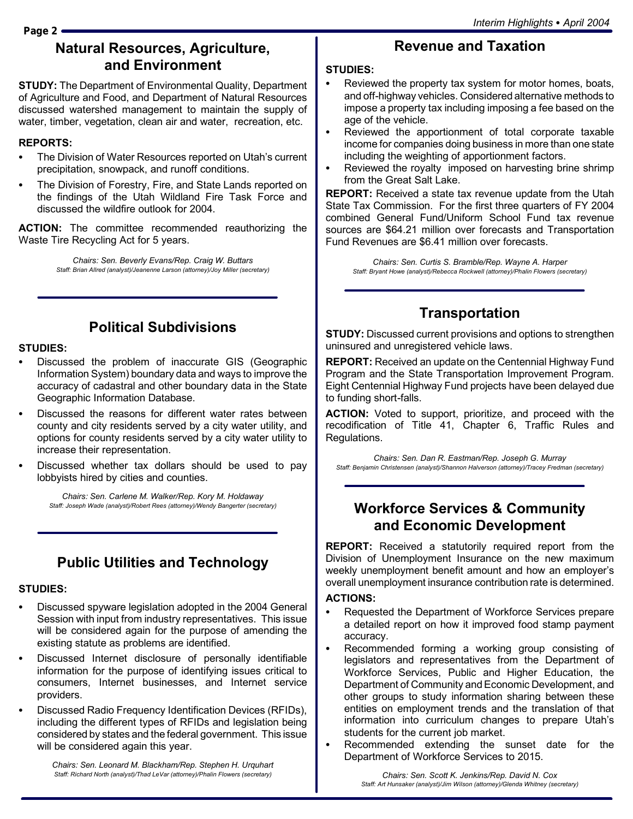**Page 2**

# **Natural Resources, Agriculture, and Environment**

**STUDY:** The Department of Environmental Quality, Department of Agriculture and Food, and Department of Natural Resources discussed watershed management to maintain the supply of water, timber, vegetation, clean air and water, recreation, etc.

### **REPORTS:**

- The Division of Water Resources reported on Utah's current precipitation, snowpack, and runoff conditions.
- The Division of Forestry, Fire, and State Lands reported on the findings of the Utah Wildland Fire Task Force and discussed the wildfire outlook for 2004.

**ACTION:** The committee recommended reauthorizing the Waste Tire Recycling Act for 5 years.

> *Chairs: Sen. Beverly Evans/Rep. Craig W. Buttars Staff: Brian Allred (analyst)/Jeanenne Larson (attorney)/Joy Miller (secretary)*

# **Political Subdivisions**

## **STUDIES:**

- Discussed the problem of inaccurate GIS (Geographic Information System) boundary data and ways to improve the accuracy of cadastral and other boundary data in the State Geographic Information Database.
- Discussed the reasons for different water rates between county and city residents served by a city water utility, and options for county residents served by a city water utility to increase their representation.
- Discussed whether tax dollars should be used to pay lobbyists hired by cities and counties.

*Chairs: Sen. Carlene M. Walker/Rep. Kory M. Holdaway Staff: Joseph Wade (analyst)/Robert Rees (attorney)/Wendy Bangerter (secretary)*

# **Public Utilities and Technology**

## **STUDIES:**

- Discussed spyware legislation adopted in the 2004 General Session with input from industry representatives. This issue will be considered again for the purpose of amending the existing statute as problems are identified.
- Discussed Internet disclosure of personally identifiable information for the purpose of identifying issues critical to consumers, Internet businesses, and Internet service providers.
- Discussed Radio Frequency Identification Devices (RFIDs), including the different types of RFIDs and legislation being considered by states and the federal government. This issue will be considered again this year.

*Chairs: Sen. Leonard M. Blackham/Rep. Stephen H. Urquhart Staff: Richard North (analyst)/Thad LeVar (attorney)/Phalin Flowers (secretary)*

# **Revenue and Taxation**

### **STUDIES:**

- Reviewed the property tax system for motor homes, boats, and off-highway vehicles. Considered alternative methods to impose a property tax including imposing a fee based on the age of the vehicle.
- Reviewed the apportionment of total corporate taxable income for companies doing business in more than one state including the weighting of apportionment factors.
- Reviewed the royalty imposed on harvesting brine shrimp from the Great Salt Lake.

**REPORT:** Received a state tax revenue update from the Utah State Tax Commission. For the first three quarters of FY 2004 combined General Fund/Uniform School Fund tax revenue sources are \$64.21 million over forecasts and Transportation Fund Revenues are \$6.41 million over forecasts.

*Chairs: Sen. Curtis S. Bramble/Rep. Wayne A. Harper Staff: Bryant Howe (analyst)/Rebecca Rockwell (attorney)/Phalin Flowers (secretary)*

# **Transportation**

**STUDY:** Discussed current provisions and options to strengthen uninsured and unregistered vehicle laws.

**REPORT:** Received an update on the Centennial Highway Fund Program and the State Transportation Improvement Program. Eight Centennial Highway Fund projects have been delayed due to funding short-falls.

**ACTION:** Voted to support, prioritize, and proceed with the recodification of Title 41, Chapter 6, Traffic Rules and Regulations.

*Chairs: Sen. Dan R. Eastman/Rep. Joseph G. Murray Staff: Benjamin Christensen (analyst)/Shannon Halverson (attorney)/Tracey Fredman (secretary)*

## **Workforce Services & Community and Economic Development**

**REPORT:** Received a statutorily required report from the Division of Unemployment Insurance on the new maximum weekly unemployment benefit amount and how an employer's overall unemployment insurance contribution rate is determined.

### **ACTIONS:**

- Requested the Department of Workforce Services prepare a detailed report on how it improved food stamp payment accuracy.
- Recommended forming a working group consisting of legislators and representatives from the Department of Workforce Services, Public and Higher Education, the Department of Community and Economic Development, and other groups to study information sharing between these entities on employment trends and the translation of that information into curriculum changes to prepare Utah's students for the current job market.
- Recommended extending the sunset date for the Department of Workforce Services to 2015.

*Chairs: Sen. Scott K. Jenkins/Rep. David N. Cox Staff: Art Hunsaker (analyst)/Jim Wilson (attorney)/Glenda Whitney (secretary)*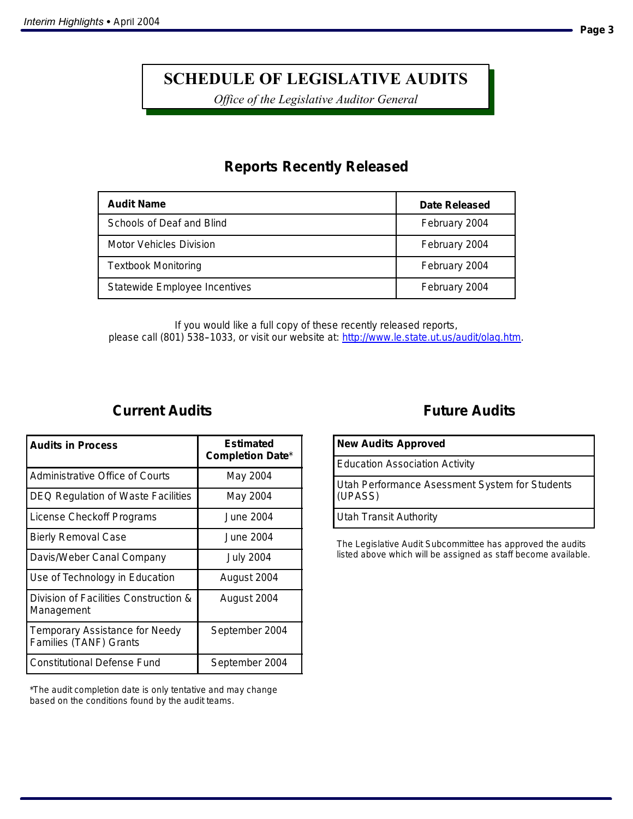# **SCHEDULE OF LEGISLATIVE AUDITS**

*Office of the Legislative Auditor General*

## **Reports Recently Released**

| <b>Audit Name</b>             | Date Released |
|-------------------------------|---------------|
| Schools of Deaf and Blind     | February 2004 |
| Motor Vehicles Division       | February 2004 |
| <b>Textbook Monitoring</b>    | February 2004 |
| Statewide Employee Incentives | February 2004 |

*If you would like a full copy of these recently released reports, please call (801) 538--1033, or visit our website at: http://www.le.state.ut.us/audit/olag.htm.*

## **Current Audits**

| <b>Audits in Process</b>                                               | Estimated<br><b>Completion Date*</b> |
|------------------------------------------------------------------------|--------------------------------------|
| Administrative Office of Courts                                        | May 2004                             |
| <b>DEQ Regulation of Waste Facilities</b>                              | May 2004                             |
| License Checkoff Programs                                              | June 2004.                           |
| <b>Bierly Removal Case</b>                                             | June 2004                            |
| Davis/Weber Canal Company                                              | <b>July 2004</b>                     |
| Use of Technology in Education                                         | August 2004                          |
| Division of Facilities Construction &<br>Management                    | August 2004                          |
| <b>Temporary Assistance for Needy</b><br><b>Families (TANF) Grants</b> | September 2004                       |
| <b>Constitutional Defense Fund</b>                                     | September 2004                       |

\*The audit completion date is only tentative and may change based on the conditions found by the audit teams.

## **Future Audits**

| <b>New Audits Approved</b>                                |  |  |
|-----------------------------------------------------------|--|--|
| <b>Education Association Activity</b>                     |  |  |
| Utah Performance Asessment System for Students<br>(UPASS) |  |  |
| Utah Transit Authority                                    |  |  |

The Legislative Audit Subcommittee has approved the audits listed above which will be assigned as staff become available.